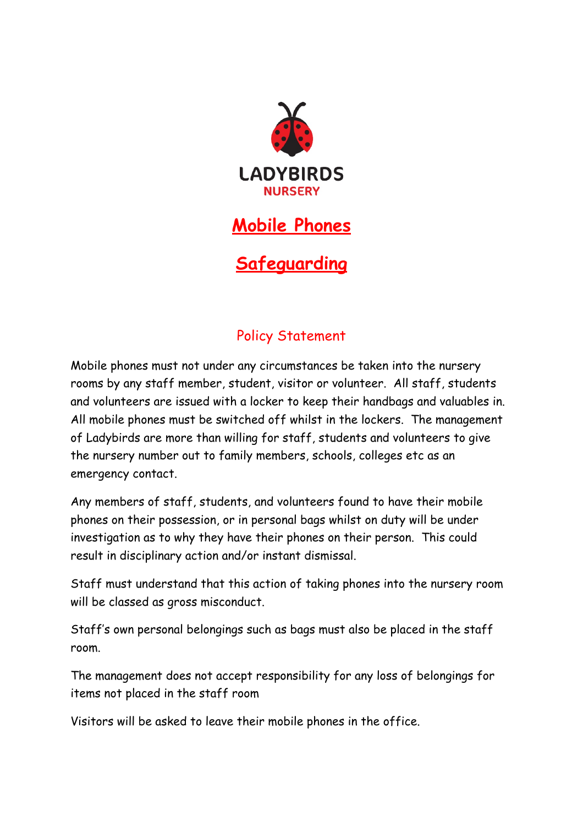

## **Mobile Phones**

**Safeguarding**

## Policy Statement

Mobile phones must not under any circumstances be taken into the nursery rooms by any staff member, student, visitor or volunteer. All staff, students and volunteers are issued with a locker to keep their handbags and valuables in. All mobile phones must be switched off whilst in the lockers. The management of Ladybirds are more than willing for staff, students and volunteers to give the nursery number out to family members, schools, colleges etc as an emergency contact.

Any members of staff, students, and volunteers found to have their mobile phones on their possession, or in personal bags whilst on duty will be under investigation as to why they have their phones on their person. This could result in disciplinary action and/or instant dismissal.

Staff must understand that this action of taking phones into the nursery room will be classed as gross misconduct.

Staff's own personal belongings such as bags must also be placed in the staff room.

The management does not accept responsibility for any loss of belongings for items not placed in the staff room

Visitors will be asked to leave their mobile phones in the office.